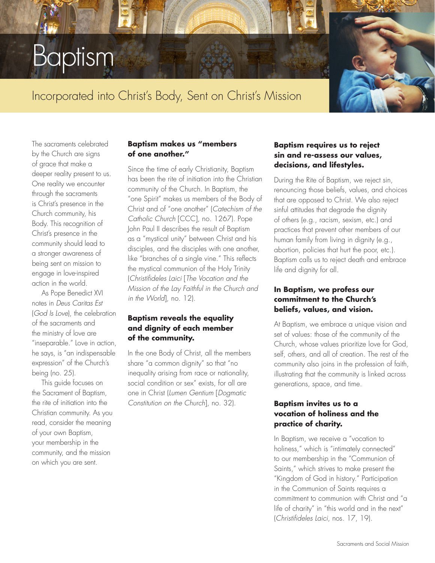# Baptism

## Incorporated into Christ's Body, Sent on Christ's Mission

The sacraments celebrated by the Church are signs of grace that make a deeper reality present to us. One reality we encounter through the sacraments is Christ's presence in the Church community, his Body. This recognition of Christ's presence in the community should lead to a stronger awareness of being sent on mission to engage in love-inspired action in the world.

As Pope Benedict XVI notes in *Deus Caritas Est*  (*God Is Love*), the celebration of the sacraments and the ministry of love are "inseparable." Love in action, he says, is "an indispensable expression" of the Church's being (no. 25).

This guide focuses on the Sacrament of Baptism, the rite of initiation into the Christian community. As you read, consider the meaning of your own Baptism, your membership in the community, and the mission on which you are sent.

#### **Baptism makes us "members of one another."**

Since the time of early Christianity, Baptism has been the rite of initiation into the Christian community of the Church. In Baptism, the "one Spirit" makes us members of the Body of Christ and of "one another" (*Catechism of the Catholic Church* [CCC], no. 1267). Pope John Paul II describes the result of Baptism as a "mystical unity" between Christ and his disciples, and the disciples with one another, like "branches of a single vine." This reflects the mystical communion of the Holy Trinity (*Christifideles Laici* [*The Vocation and the Mission of the Lay Faithful in the Church and in the World*], no. 12).

#### **Baptism reveals the equality and dignity of each member of the community.**

In the one Body of Christ, all the members share "a common dignity" so that "no inequality arising from race or nationality, social condition or sex" exists, for all are one in Christ (*Lumen Gentium* [*Dogmatic Constitution on the Church*], no. 32).

#### **Baptism requires us to reject sin and re-assess our values, decisions, and lifestyles.**

During the Rite of Baptism, we reject sin, renouncing those beliefs, values, and choices that are opposed to Christ. We also reject sinful attitudes that degrade the dignity of others (e.g., racism, sexism, etc.) and practices that prevent other members of our human family from living in dignity (e.g., abortion, policies that hurt the poor, etc.). Baptism calls us to reject death and embrace life and dignity for all.

#### **In Baptism, we profess our commitment to the Church's beliefs, values, and vision.**

At Baptism, we embrace a unique vision and set of values: those of the community of the Church, whose values prioritize love for God, self, others, and all of creation. The rest of the community also joins in the profession of faith, illustrating that the community is linked across generations, space, and time.

#### **Baptism invites us to a vocation of holiness and the practice of charity.**

In Baptism, we receive a "vocation to holiness," which is "intimately connected" to our membership in the "Communion of Saints," which strives to make present the "Kingdom of God in history." Participation in the Communion of Saints requires a commitment to communion with Christ and "a life of charity" in "this world and in the next" (*Christifideles Laici*, nos. 17, 19).